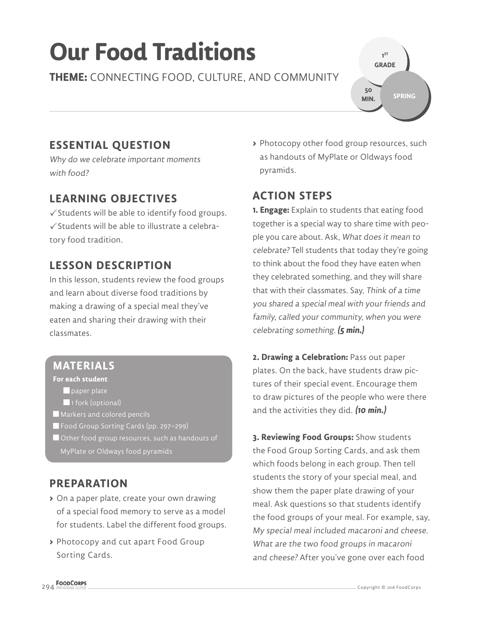# **Our Food Traditions**

**THEME:** CONNECTING FOOD, CULTURE, AND COMMUNITY

## **ESSENTIAL QUESTION**

Why do we celebrate important moments with food?

### **LEARNING OBJECTIVES**

 $\checkmark$  Students will be able to identify food groups.  $\checkmark$  Students will be able to illustrate a celebratory food tradition.

### **LESSON DESCRIPTION**

In this lesson, students review the food groups and learn about diverse food traditions by making a drawing of a special meal they've eaten and sharing their drawing with their classmates.

#### **MATERIALS**

#### **For each student**

 $\blacksquare$  paper plate

- 1 fork (optional)
- Markers and colored pencils
- Food Group Sorting Cards (pp. 297–299)
- Other food group resources, such as handouts of

#### **PREPARATION**

- **>** On a paper plate, create your own drawing of a special food memory to serve as a model for students. Label the different food groups.
- **>** Photocopy and cut apart Food Group Sorting Cards.

**>** Photocopy other food group resources, such as handouts of MyPlate or Oldways food pyramids.

**1 ST GRADE** 

**50 MIN.**

**SPRING**

### **ACTION STEPS**

**1. Engage:** Explain to students that eating food together is a special way to share time with people you care about. Ask, What does it mean to celebrate? Tell students that today they're going to think about the food they have eaten when they celebrated something, and they will share that with their classmates. Say, Think of a time you shared a special meal with your friends and family, called your community, when you were celebrating something. **(5 min.)**

**2. Drawing a Celebration:** Pass out paper plates. On the back, have students draw pictures of their special event. Encourage them to draw pictures of the people who were there and the activities they did. **(10 min.)**

**3. Reviewing Food Groups:** Show students the Food Group Sorting Cards, and ask them which foods belong in each group. Then tell students the story of your special meal, and show them the paper plate drawing of your meal. Ask questions so that students identify the food groups of your meal. For example, say, My special meal included macaroni and cheese. What are the two food groups in macaroni and cheese? After you've gone over each food

MyPlate or Oldways food pyramids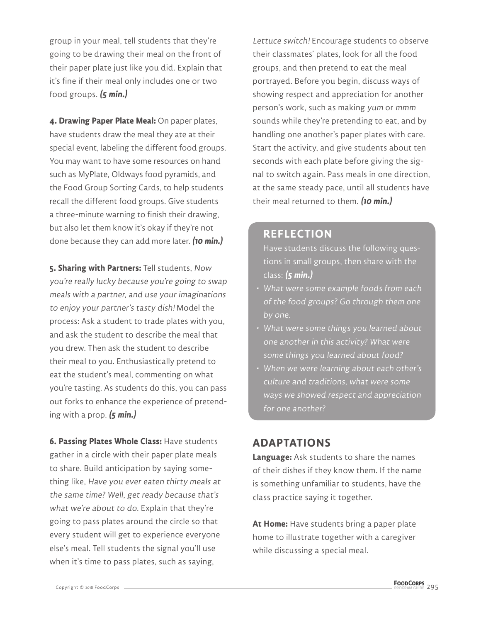group in your meal, tell students that they're going to be drawing their meal on the front of their paper plate just like you did. Explain that it's fine if their meal only includes one or two food groups. **(5 min.)**

**4. Drawing Paper Plate Meal:** On paper plates, have students draw the meal they ate at their special event, labeling the different food groups. You may want to have some resources on hand such as MyPlate, Oldways food pyramids, and the Food Group Sorting Cards, to help students recall the different food groups. Give students a three-minute warning to finish their drawing, but also let them know it's okay if they're not done because they can add more later. **(10 min.)**

**5. Sharing with Partners:** Tell students, Now you're really lucky because you're going to swap meals with a partner, and use your imaginations to enjoy your partner's tasty dish! Model the process: Ask a student to trade plates with you, and ask the student to describe the meal that you drew. Then ask the student to describe their meal to you. Enthusiastically pretend to eat the student's meal, commenting on what you're tasting. As students do this, you can pass out forks to enhance the experience of pretending with a prop. **(5 min.)**

**6. Passing Plates Whole Class:** Have students gather in a circle with their paper plate meals to share. Build anticipation by saying something like, Have you ever eaten thirty meals at the same time? Well, get ready because that's what we're about to do. Explain that they're going to pass plates around the circle so that every student will get to experience everyone else's meal. Tell students the signal you'll use when it's time to pass plates, such as saying,

Lettuce switch! Encourage students to observe their classmates' plates, look for all the food groups, and then pretend to eat the meal portrayed. Before you begin, discuss ways of showing respect and appreciation for another person's work, such as making yum or mmm sounds while they're pretending to eat, and by handling one another's paper plates with care. Start the activity, and give students about ten seconds with each plate before giving the signal to switch again. Pass meals in one direction, at the same steady pace, until all students have their meal returned to them. **(10 min.)**

#### **REFLECTION**

- Have students discuss the following questions in small groups, then share with the class: **(5 min.)**
- What were some example foods from each of the food groups? Go through them one by one.
- What were some things you learned about one another in this activity? What were some things you learned about food?
- When we were learning about each other's culture and traditions, what were some ways we showed respect and appreciation for one another?

#### **ADAPTATIONS**

**Language:** Ask students to share the names of their dishes if they know them. If the name is something unfamiliar to students, have the class practice saying it together.

**At Home:** Have students bring a paper plate home to illustrate together with a caregiver while discussing a special meal.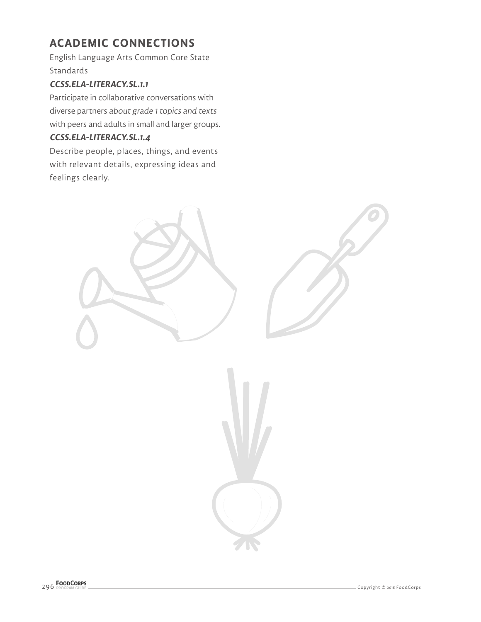# **ACADEMIC CONNECTIONS**

English Language Arts Common Core State Standards

#### **CCSS.ELA-LITERACY.SL.1.1**

Participate in collaborative conversations with diverse partners about grade 1 topics and texts with peers and adults in small and larger groups.

#### **CCSS.ELA-LITERACY.SL.1.4**

Describe people, places, things, and events with relevant details, expressing ideas and feelings clearly.

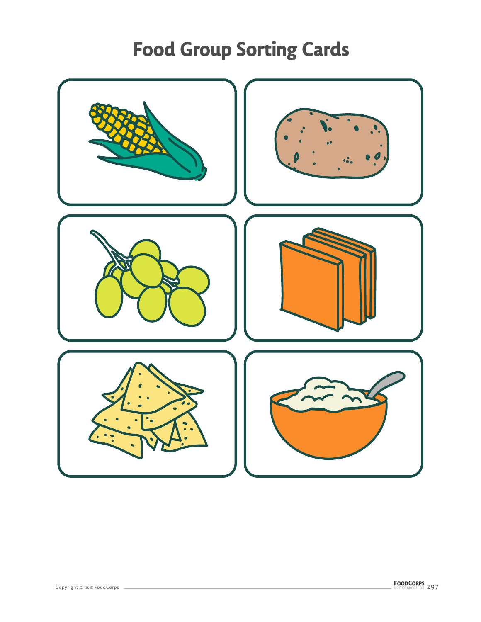# **Food Group Sorting Cards**

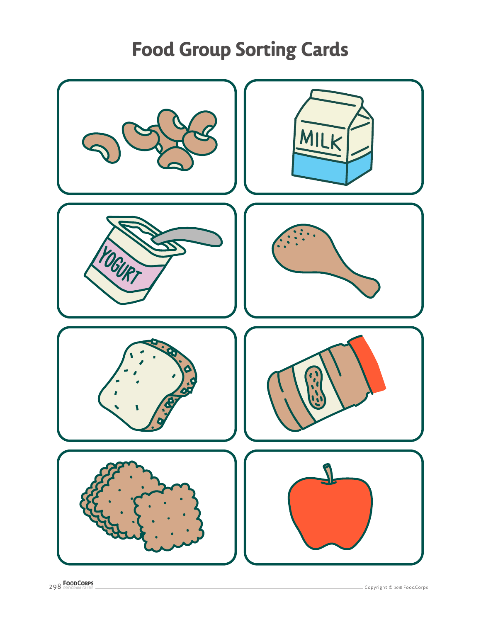# **Food Group Sorting Cards**